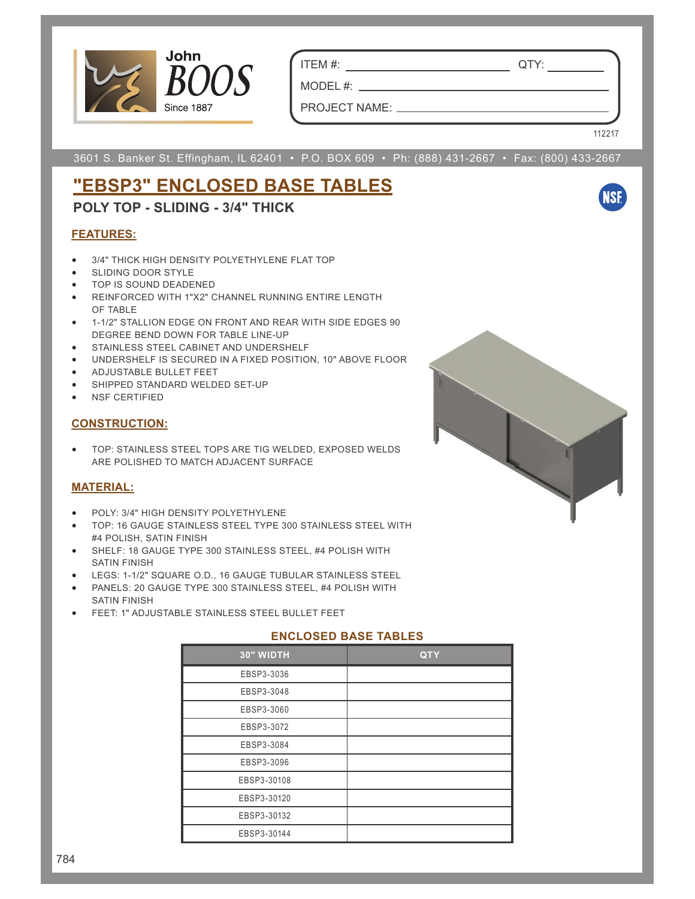

ITEM #: QTY:

PROJECT NAME:

MODEL #:  $\_\_$ 

112217

**NSF** 

3601 S. Banker St. Effingham, IL 62401 • P.O. BOX 609 • Ph: (888) 431-2667 • Fax: (800) 433-2667

# **"EBSP3" ENCLOSED BASE TABLES**

### **POLY TOP - SLIDING - 3/4" THICK**

#### **FEATURES:**

- 3/4" THICK HIGH DENSITY POLYETHYLENE FLAT TOP
- SLIDING DOOR STYLE
- TOP IS SOUND DEADENED
- REINFORCED WITH 1"X2" CHANNEL RUNNING ENTIRE LENGTH OF TABLE
- 1-1/2" STALLION EDGE ON FRONT AND REAR WITH SIDE EDGES 90 DEGREE BEND DOWN FOR TABLE LINE-UP
- STAINLESS STEEL CABINET AND UNDERSHELF
- UNDERSHELF IS SECURED IN A FIXED POSITION, 10" ABOVE FLOOR
- ADJUSTABLE BULLET FEET
- SHIPPED STANDARD WELDED SET-UP
- NSF CERTIFIED

#### **CONSTRUCTION:**

• TOP: STAINLESS STEEL TOPS ARE TIG WELDED, EXPOSED WELDS ARE POLISHED TO MATCH ADJACENT SURFACE

#### **MATERIAL:**

- POLY: 3/4" HIGH DENSITY POLYETHYLENE
- TOP: 16 GAUGE STAINLESS STEEL TYPE 300 STAINLESS STEEL WITH #4 POLISH, SATIN FINISH
- SHELF: 18 GAUGE TYPE 300 STAINLESS STEEL, #4 POLISH WITH SATIN FINISH
- LEGS: 1-1/2" SQUARE O.D., 16 GAUGE TUBULAR STAINLESS STEEL
- PANELS: 20 GAUGE TYPE 300 STAINLESS STEEL, #4 POLISH WITH SATIN FINISH
- FEET: 1" ADJUSTABLE STAINLESS STEEL BULLET FEET

#### **ENCLOSED BASE TABLES**

| <b>30" WIDTH</b> | <b>QTY</b> |
|------------------|------------|
| EBSP3-3036       |            |
| EBSP3-3048       |            |
| EBSP3-3060       |            |
| EBSP3-3072       |            |
| EBSP3-3084       |            |
| EBSP3-3096       |            |
| EBSP3-30108      |            |
| EBSP3-30120      |            |
| EBSP3-30132      |            |
| EBSP3-30144      |            |